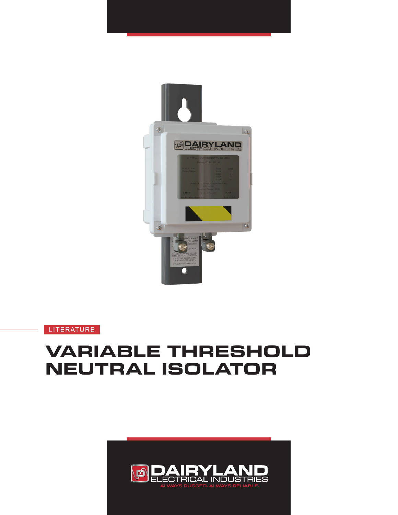

**LITERATURE** 

# **VARIABLE THRESHOLD NEUTRAL ISOLATOR**

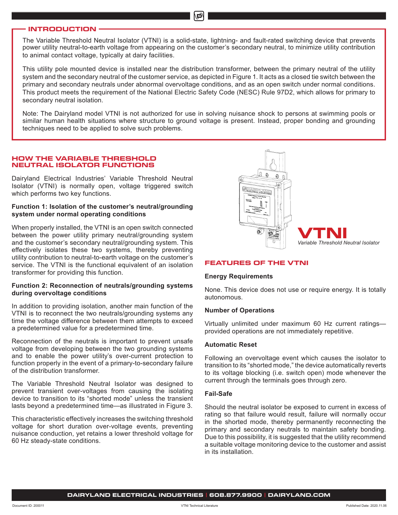#### **INTRODUCTION**

The Variable Threshold Neutral Isolator (VTNI) is a solid-state, lightning- and fault-rated switching device that prevents power utility neutral-to-earth voltage from appearing on the customer's secondary neutral, to minimize utility contribution to animal contact voltage, typically at dairy facilities.

Ď

This utility pole mounted device is installed near the distribution transformer, between the primary neutral of the utility system and the secondary neutral of the customer service, as depicted in Figure 1. It acts as a closed tie switch between the primary and secondary neutrals under abnormal overvoltage conditions, and as an open switch under normal conditions. This product meets the requirement of the National Electric Safety Code (NESC) Rule 97D2, which allows for primary to secondary neutral isolation.

Note: The Dairyland model VTNI is not authorized for use in solving nuisance shock to persons at swimming pools or similar human health situations where structure to ground voltage is present. Instead, proper bonding and grounding techniques need to be applied to solve such problems.

## **HOW THE VARIABLE THRESHOLD NEUTRAL ISOLATOR FUNCTIONS**

Dairyland Electrical Industries' Variable Threshold Neutral Isolator (VTNI) is normally open, voltage triggered switch which performs two key functions.

# **Function 1: Isolation of the customer's neutral/grounding system under normal operating conditions**

When properly installed, the VTNI is an open switch connected between the power utility primary neutral/grounding system and the customer's secondary neutral/grounding system. This effectively isolates these two systems, thereby preventing utility contribution to neutral-to-earth voltage on the customer's service. The VTNI is the functional equivalent of an isolation transformer for providing this function.

## **Function 2: Reconnection of neutrals/grounding systems during overvoltage conditions**

In addition to providing isolation, another main function of the VTNI is to reconnect the two neutrals/grounding systems any time the voltage difference between them attempts to exceed a predetermined value for a predetermined time.

Reconnection of the neutrals is important to prevent unsafe voltage from developing between the two grounding systems and to enable the power utility's over-current protection to function properly in the event of a primary-to-secondary failure of the distribution transformer.

The Variable Threshold Neutral Isolator was designed to prevent transient over-voltages from causing the isolating device to transition to its "shorted mode" unless the transient lasts beyond a predetermined time—as illustrated in Figure 3.

This characteristic effectively increases the switching threshold voltage for short duration over-voltage events, preventing nuisance conduction, yet retains a lower threshold voltage for 60 Hz steady-state conditions.



#### **FEATURES OF THE VTNI**

#### **Energy Requirements**

None. This device does not use or require energy. It is totally autonomous.

## **Number of Operations**

Virtually unlimited under maximum 60 Hz current ratings provided operations are not immediately repetitive.

#### **Automatic Reset**

Following an overvoltage event which causes the isolator to transition to its "shorted mode," the device automatically reverts to its voltage blocking (i.e. switch open) mode whenever the current through the terminals goes through zero.

#### **Fail-Safe**

Should the neutral isolator be exposed to current in excess of rating so that failure would result, failure will normally occur in the shorted mode, thereby permanently reconnecting the primary and secondary neutrals to maintain safety bonding. Due to this possibility, it is suggested that the utility recommend a suitable voltage monitoring device to the customer and assist in its installation.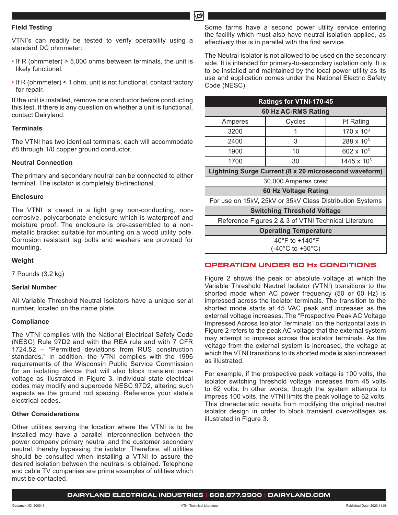# **Field Testing**

VTNI's can readily be tested to verify operability using a standard DC ohmmeter:

- If R (ohmmeter) > 5,000 ohms between terminals, the unit is likely functional.
- If R (ohmmeter) < 1 ohm, unit is not functional, contact factory for repair.

If the unit is installed, remove one conductor before conducting this test. If there is any question on whether a unit is functional, contact Dairyland.

#### **Terminals**

The VTNI has two identical terminals; each will accommodate #8 through 1/0 copper ground conductor.

#### **Neutral Connection**

The primary and secondary neutral can be connected to either terminal. The isolator is completely bi-directional.

# **Enclosure**

The VTNI is cased in a light gray non-conducting, noncorrosive, polycarbonate enclosure which is waterproof and moisture proof. The enclosure is pre-assembled to a nonmetallic bracket suitable for mounting on a wood utility pole. Corrosion resistant lag bolts and washers are provided for mounting.

#### **Weight**

7 Pounds (3.2 kg)

#### **Serial Number**

All Variable Threshold Neutral Isolators have a unique serial number, located on the name plate.

#### **Compliance**

The VTNI complies with the National Electrical Safety Code (NESC) Rule 97D2 and with the REA rule and with 7 CFR 1724.52 – "Permitted deviations from RUS construction standards." In addition, the VTNI complies with the 1996 requirements of the Wisconsin Public Service Commission for an isolating device that will also block transient overvoltage as illustrated in Figure 3. Individual state electrical codes may modify and supercede NESC 97D2, altering such aspects as the ground rod spacing. Reference your state's electrical codes.

#### **Other Considerations**

Other utilities serving the location where the VTNI is to be installed may have a parallel interconnection between the power company primary neutral and the customer secondary neutral, thereby bypassing the isolator. Therefore, all utilities should be consulted when installing a VTNI to assure the desired isolation between the neutrals is obtained. Telephone and cable TV companies are prime examples of utilities which must be contacted.

Some farms have a second power utility service entering the facility which must also have neutral isolation applied, as effectively this is in parallel with the first service.

The Neutral Isolator is not allowed to be used on the secondary side. It is intended for primary-to-secondary isolation only. It is to be installed and maintained by the local power utility as its use and application comes under the National Electric Safety Code (NESC).

| Ratings for VTNI-170-45                                  |        |                         |
|----------------------------------------------------------|--------|-------------------------|
| 60 Hz AC-RMS Rating                                      |        |                         |
| Amperes                                                  | Cycles | i <sup>2</sup> t Rating |
| 3200                                                     |        | 170 x 10 <sup>3</sup>   |
| 2400                                                     | 3      | $288 \times 10^{3}$     |
| 1900                                                     | 10     | $602 \times 10^{3}$     |
| 1700                                                     | 30     | $1445 \times 10^{3}$    |
| Lightning Surge Current (8 x 20 microsecond waveform)    |        |                         |
| 30,000 Amperes crest                                     |        |                         |
| 60 Hz Voltage Rating                                     |        |                         |
| For use on 15kV, 25kV or 35kV Class Distribution Systems |        |                         |
| <b>Switching Threshold Voltage</b>                       |        |                         |
| Reference Figures 2 & 3 of VTNI Technical Literature     |        |                         |
| <b>Operating Temperature</b>                             |        |                         |
| -40°F to +140°F                                          |        |                         |
| (-40°C to +60°C)                                         |        |                         |

# **OPERATION UNDER 60 Hz CONDITIONS**

Figure 2 shows the peak or absolute voltage at which the Variable Threshold Neutral Isolator (VTNI) transitions to the shorted mode when AC power frequency (50 or 60 Hz) is impressed across the isolator terminals. The transition to the shorted mode starts at 45 VAC peak and increases as the external voltage increases. The "Prospective Peak AC Voltage Impressed Across Isolator Terminals" on the horizontal axis in Figure 2 refers to the peak AC voltage that the external system may attempt to impress across the isolator terminals. As the voltage from the external system is increased, the voltage at which the VTNI transitions to its shorted mode is also increased as illustrated.

For example, if the prospective peak voltage is 100 volts, the isolator switching threshold voltage increases from 45 volts to 62 volts. In other words, though the system attempts to impress 100 volts, the VTNI limits the peak voltage to 62 volts. This characteristic results from modifying the original neutral isolator design in order to block transient over-voltages as illustrated in Figure 3.

**DAIRYLAND ELECTRICAL INDUSTRIES | 608.877.9900 | DAIRYLAND.COM**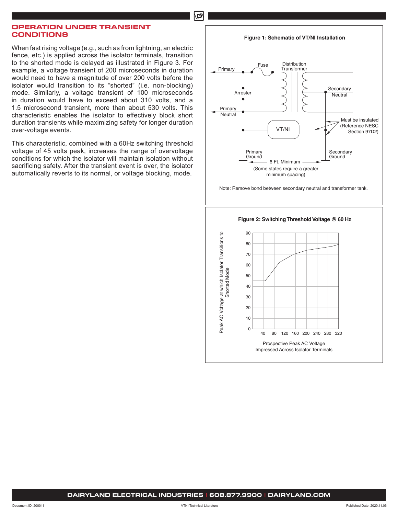மி

# **OPERATION UNDER TRANSIENT CONDITIONS**

When fast rising voltage (e.g., such as from lightning, an electric fence, etc.) is applied across the isolator terminals, transition to the shorted mode is delayed as illustrated in Figure 3. For example, a voltage transient of 200 microseconds in duration would need to have a magnitude of over 200 volts before the isolator would transition to its "shorted" (i.e. non-blocking) mode. Similarly, a voltage transient of 100 microseconds in duration would have to exceed about 310 volts, and a 1.5 microsecond transient, more than about 530 volts. This characteristic enables the isolator to effectively block short duration transients while maximizing safety for longer duration over-voltage events.

This characteristic, combined with a 60Hz switching threshold voltage of 45 volts peak, increases the range of overvoltage conditions for which the isolator will maintain isolation without sacrificing safety. After the transient event is over, the isolator automatically reverts to its normal, or voltage blocking, mode.

#### **Figure 1: Schematic of VT/NI Installation**



Note: Remove bond between secondary neutral and transformer tank.